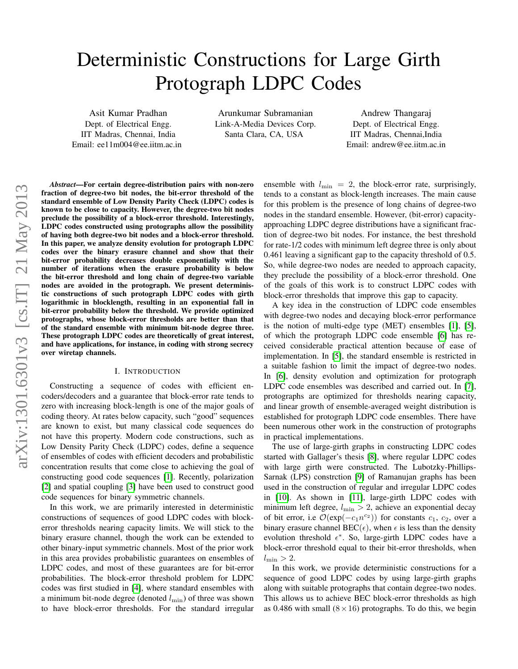# Deterministic Constructions for Large Girth Protograph LDPC Codes

Asit Kumar Pradhan Dept. of Electrical Engg. IIT Madras, Chennai, India Email: ee11m004@ee.iitm.ac.in

Arunkumar Subramanian Link-A-Media Devices Corp. Santa Clara, CA, USA

Andrew Thangaraj Dept. of Electrical Engg. IIT Madras, Chennai,India Email: andrew@ee.iitm.ac.in

*Abstract*—For certain degree-distribution pairs with non-zero fraction of degree-two bit nodes, the bit-error threshold of the standard ensemble of Low Density Parity Check (LDPC) codes is known to be close to capacity. However, the degree-two bit nodes preclude the possibility of a block-error threshold. Interestingly, LDPC codes constructed using protographs allow the possibility of having both degree-two bit nodes and a block-error threshold. In this paper, we analyze density evolution for protograph LDPC codes over the binary erasure channel and show that their bit-error probability decreases double exponentially with the number of iterations when the erasure probability is below the bit-error threshold and long chain of degree-two variable nodes are avoided in the protograph. We present deterministic constructions of such protograph LDPC codes with girth logarithmic in blocklength, resulting in an exponential fall in bit-error probability below the threshold. We provide optimized protographs, whose block-error thresholds are better than that of the standard ensemble with minimum bit-node degree three. These protograph LDPC codes are theoretically of great interest, and have applications, for instance, in coding with strong secrecy over wiretap channels.

# I. INTRODUCTION

Constructing a sequence of codes with efficient encoders/decoders and a guarantee that block-error rate tends to zero with increasing block-length is one of the major goals of coding theory. At rates below capacity, such "good" sequences are known to exist, but many classical code sequences do not have this property. Modern code constructions, such as Low Density Parity Check (LDPC) codes, define a sequence of ensembles of codes with efficient decoders and probabilistic concentration results that come close to achieving the goal of constructing good code sequences [\[1\]](#page-4-0). Recently, polarization [\[2\]](#page-4-1) and spatial coupling [\[3\]](#page-4-2) have been used to construct good code sequences for binary symmetric channels.

In this work, we are primarily interested in deterministic constructions of sequences of good LDPC codes with blockerror thresholds nearing capacity limits. We will stick to the binary erasure channel, though the work can be extended to other binary-input symmetric channels. Most of the prior work in this area provides probabilistic guarantees on ensembles of LDPC codes, and most of these guarantees are for bit-error probabilities. The block-error threshold problem for LDPC codes was first studied in [\[4\]](#page-4-3), where standard ensembles with a minimum bit-node degree (denoted  $l_{\min}$ ) of three was shown to have block-error thresholds. For the standard irregular ensemble with  $l_{\min} = 2$ , the block-error rate, surprisingly, tends to a constant as block-length increases. The main cause for this problem is the presence of long chains of degree-two nodes in the standard ensemble. However, (bit-error) capacityapproaching LDPC degree distributions have a significant fraction of degree-two bit nodes. For instance, the best threshold for rate-1/2 codes with minimum left degree three is only about 0.461 leaving a significant gap to the capacity threshold of 0.5. So, while degree-two nodes are needed to approach capacity, they preclude the possibility of a block-error threshold. One of the goals of this work is to construct LDPC codes with block-error thresholds that improve this gap to capacity.

A key idea in the construction of LDPC code ensembles with degree-two nodes and decaying block-error performance is the notion of multi-edge type (MET) ensembles [\[1\]](#page-4-0), [\[5\]](#page-4-4), of which the protograph LDPC code ensemble [\[6\]](#page-4-5) has received considerable practical attention because of ease of implementation. In [\[5\]](#page-4-4), the standard ensemble is restricted in a suitable fashion to limit the impact of degree-two nodes. In [\[6\]](#page-4-5), density evolution and optimization for protograph LDPC code ensembles was described and carried out. In [\[7\]](#page-4-6), protographs are optimized for thresholds nearing capacity, and linear growth of ensemble-averaged weight distribution is established for protograph LDPC code ensembles. There have been numerous other work in the construction of protographs in practical implementations.

The use of large-girth graphs in constructing LDPC codes started with Gallager's thesis [\[8\]](#page-4-7), where regular LDPC codes with large girth were constructed. The Lubotzky-Phillips-Sarnak (LPS) constrction [\[9\]](#page-4-8) of Ramanujan graphs has been used in the construction of regular and irregular LDPC codes in [\[10\]](#page-4-9). As shown in [\[11\]](#page-4-10), large-girth LDPC codes with minimum left degree,  $l_{\min} > 2$ , achieve an exponential decay of bit error, i.e  $\mathcal{O}(\exp(-c_1 n^{c_2}))$  for constants  $c_1, c_2$ , over a binary erasure channel BEC( $\epsilon$ ), when  $\epsilon$  is less than the density evolution threshold  $\epsilon^*$ . So, large-girth LDPC codes have a block-error threshold equal to their bit-error thresholds, when  $l_{\min} > 2$ .

In this work, we provide deterministic constructions for a sequence of good LDPC codes by using large-girth graphs along with suitable protographs that contain degree-two nodes. This allows us to achieve BEC block-error thresholds as high as 0.486 with small  $(8 \times 16)$  protographs. To do this, we begin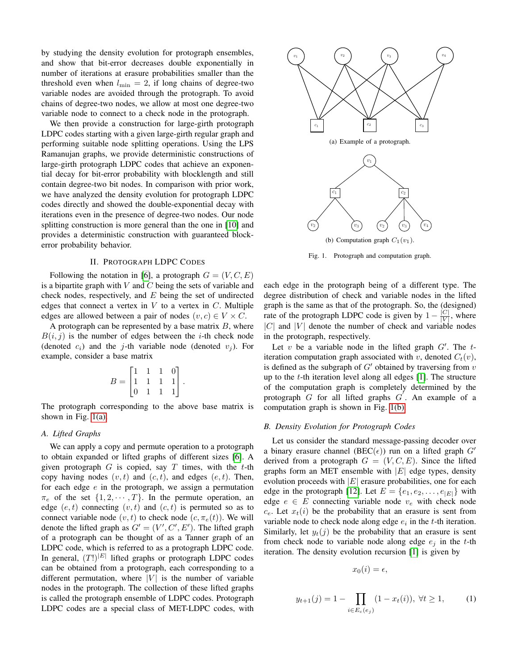by studying the density evolution for protograph ensembles, and show that bit-error decreases double exponentially in number of iterations at erasure probabilities smaller than the threshold even when  $l_{\min} = 2$ , if long chains of degree-two variable nodes are avoided through the protograph. To avoid chains of degree-two nodes, we allow at most one degree-two variable node to connect to a check node in the protograph.

We then provide a construction for large-girth protograph LDPC codes starting with a given large-girth regular graph and performing suitable node splitting operations. Using the LPS Ramanujan graphs, we provide deterministic constructions of large-girth protograph LDPC codes that achieve an exponential decay for bit-error probability with blocklength and still contain degree-two bit nodes. In comparison with prior work, we have analyzed the density evolution for protograph LDPC codes directly and showed the double-exponential decay with iterations even in the presence of degree-two nodes. Our node splitting construction is more general than the one in [\[10\]](#page-4-9) and provides a deterministic construction with guaranteed blockerror probability behavior.

#### II. PROTOGRAPH LDPC CODES

<span id="page-1-3"></span>Following the notation in [\[6\]](#page-4-5), a protograph  $G = (V, C, E)$ is a bipartite graph with  $V$  and  $C$  being the sets of variable and check nodes, respectively, and  $E$  being the set of undirected edges that connect a vertex in  $V$  to a vertex in  $C$ . Multiple edges are allowed between a pair of nodes  $(v, c) \in V \times C$ .

A protograph can be represented by a base matrix  $B$ , where  $B(i, j)$  is the number of edges between the *i*-th check node (denoted  $c_i$ ) and the j-th variable node (denoted  $v_i$ ). For example, consider a base matrix

$$
B = \begin{bmatrix} 1 & 1 & 1 & 0 \\ 1 & 1 & 1 & 1 \\ 0 & 1 & 1 & 1 \end{bmatrix}.
$$

The protograph corresponding to the above base matrix is shown in Fig. [1\(a\).](#page-1-0)

# *A. Lifted Graphs*

We can apply a copy and permute operation to a protograph to obtain expanded or lifted graphs of different sizes [\[6\]](#page-4-5). A given protograph  $G$  is copied, say  $T$  times, with the t-th copy having nodes  $(v, t)$  and  $(c, t)$ , and edges  $(e, t)$ . Then, for each edge  $e$  in the protograph, we assign a permutation  $\pi_e$  of the set  $\{1, 2, \cdots, T\}$ . In the permute operation, an edge  $(e, t)$  connecting  $(v, t)$  and  $(c, t)$  is permuted so as to connect variable node  $(v, t)$  to check node  $(c, \pi_e(t))$ . We will denote the lifted graph as  $G' = (V', C', E')$ . The lifted graph of a protograph can be thought of as a Tanner graph of an LDPC code, which is referred to as a protograph LDPC code. In general,  $(T!)^{|E|}$  lifted graphs or protograph LDPC codes can be obtained from a protograph, each corresponding to a different permutation, where  $|V|$  is the number of variable nodes in the protograph. The collection of these lifted graphs is called the protograph ensemble of LDPC codes. Protograph LDPC codes are a special class of MET-LDPC codes, with

<span id="page-1-0"></span>

<span id="page-1-1"></span>Fig. 1. Protograph and computation graph.

each edge in the protograph being of a different type. The degree distribution of check and variable nodes in the lifted graph is the same as that of the protograph. So, the (designed) rate of the protograph LDPC code is given by  $1 - \frac{|C|}{|V|}$  $\frac{|C|}{|V|}$ , where  $|C|$  and  $|V|$  denote the number of check and variable nodes in the protograph, respectively.

Let  $v$  be a variable node in the lifted graph  $G'$ . The  $t$ iteration computation graph associated with v, denoted  $C_t(v)$ , is defined as the subgraph of  $G'$  obtained by traversing from  $v$ up to the t-th iteration level along all edges [\[1\]](#page-4-0). The structure of the computation graph is completely determined by the protograph  $G$  for all lifted graphs  $G'$ . An example of a computation graph is shown in Fig. [1\(b\).](#page-1-1)

# *B. Density Evolution for Protograph Codes*

Let us consider the standard message-passing decoder over a binary erasure channel (BEC( $\epsilon$ )) run on a lifted graph G' derived from a protograph  $G = (V, C, E)$ . Since the lifted graphs form an MET ensemble with  $|E|$  edge types, density evolution proceeds with  $|E|$  erasure probabilities, one for each edge in the protograph [\[12\]](#page-4-11). Let  $E = \{e_1, e_2, \dots, e_{|E|}\}\$  with edge  $e \in E$  connecting variable node  $v_e$  with check node  $c_e$ . Let  $x_t(i)$  be the probability that an erasure is sent from variable node to check node along edge  $e_i$  in the t-th iteration. Similarly, let  $y_t(j)$  be the probability that an erasure is sent from check node to variable node along edge  $e_i$  in the t-th iteration. The density evolution recursion [\[1\]](#page-4-0) is given by

$$
x_0(i) = \epsilon,
$$

<span id="page-1-2"></span>
$$
y_{t+1}(j) = 1 - \prod_{i \in E_c(e_j)} (1 - x_t(i)), \ \forall t \ge 1,
$$
 (1)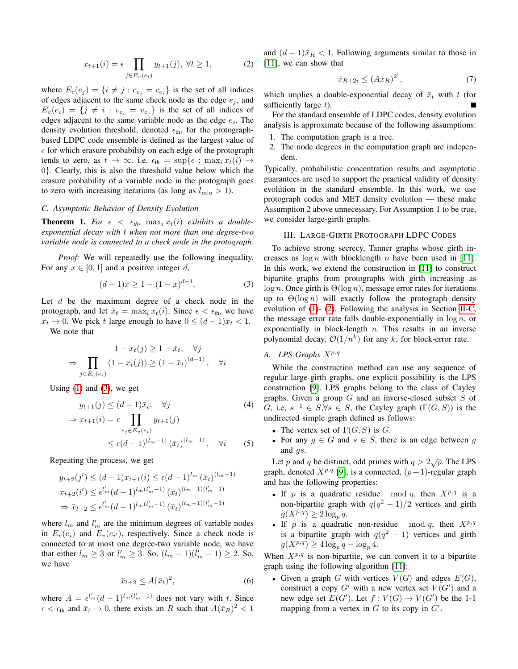$$
x_{t+1}(i) = \epsilon \prod_{j \in E_v(e_i)} y_{t+1}(j), \ \forall t \ge 1,
$$
 (2)

<span id="page-2-1"></span>where  $E_c(e_j) = \{i \neq j : c_{e_j} = c_{e_i}\}\$ is the set of all indices of edges adjacent to the same check node as the edge  $e_j$ , and  $E_v(e_i) = \{j \neq i : v_{e_i} = v_{e_j}\}\$ is the set of all indices of edges adjacent to the same variable node as the edge  $e_i$ . The density evolution threshold, denoted  $\epsilon_{th}$ , for the protographbased LDPC code ensemble is defined as the largest value of  $\epsilon$  for which erasure probability on each edge of the protograph tends to zero, as  $t \to \infty$ . i.e.  $\epsilon_{\text{th}} = \sup \{\epsilon : \max_i x_t(i) \to \epsilon\}$ 0}. Clearly, this is also the threshold value below which the erasure probability of a variable node in the protograph goes to zero with increasing iterations (as long as  $l_{\min} > 1$ ).

### <span id="page-2-2"></span>*C. Asymptotic Behavior of Density Evolution*

**Theorem 1.** For  $\epsilon < \epsilon_{th}$ ,  $\max_i x_i(i)$  exhibits a double*exponential decay with* t *when not more than one degree-two variable node is connected to a check node in the protograph.*

*Proof:* We will repeatedly use the following inequality. For any  $x \in [0, 1]$  and a positive integer d,

$$
(d-1)x \ge 1 - (1-x)^{d-1}.
$$
 (3)

Let  $d$  be the maximum degree of a check node in the protograph, and let  $\bar{x}_t = \max_i x_t(i)$ . Since  $\epsilon < \epsilon_{\text{th}}$ , we have  $\bar{x}_t \to 0$ . We pick t large enough to have  $0 \leq (d-1)\bar{x}_t < 1$ . We note that

$$
1 - x_t(j) \ge 1 - \bar{x}_t, \quad \forall j
$$
  
\n
$$
\Rightarrow \prod_{j \in E_c(e_i)} (1 - x_t(j)) \ge (1 - \bar{x}_t)^{(d-1)}, \quad \forall i
$$

Using  $(1)$  and  $(3)$ , we get

$$
y_{t+1}(j) \le (d-1)\bar{x}_t, \quad \forall j
$$
  
\n
$$
\Rightarrow x_{t+1}(i) = \epsilon \prod_{e_j \in E_v(e_i)} y_{t+1}(j)
$$
  
\n
$$
\le \epsilon (d-1)^{(l_m-1)} (\bar{x}_t)^{(l_m-1)}, \quad \forall i
$$
 (5)

Repeating the process, we get

$$
y_{t+2}(j') \le (d-1)x_{t+1}(i) \le \epsilon (d-1)^{l_m} (\bar{x}_t)^{(l_m-1)}
$$
  

$$
x_{t+2}(i') \le \epsilon^{l'_m} (d-1)^{l_m(l'_m-1)} (\bar{x}_t)^{(l_m-1)(l'_m-1)}
$$
  

$$
\Rightarrow \bar{x}_{t+2} \le \epsilon^{l'_m} (d-1)^{l_m(l'_m-1)} (\bar{x}_t)^{(l_m-1)(l'_m-1)}
$$

where  $l_m$  and  $l'_m$  are the minimum degrees of variable nodes in  $E_v(e_i)$  and  $E_v(e_{i'})$ , respectively. Since a check node is connected to at most one degree-two variable node, we have that either  $l_m \ge 3$  or  $l'_m \ge 3$ . So,  $(l_m - 1)(l'_m - 1) \ge 2$ . So, we have

$$
\bar{x}_{t+2} \le A(\bar{x}_t)^2, \tag{6}
$$

where  $A = \epsilon^{l'_m} (d-1)^{l_m(l'_m-1)}$  does not vary with t. Since  $\epsilon < \epsilon_{\text{th}}$  and  $\bar{x}_t \to 0$ , there exists an R such that  $A(\bar{x}_R)^2 < 1$ 

and  $(d-1)\bar{x}_R < 1$ . Following arguments similar to those in [\[11\]](#page-4-10), we can show that

$$
\bar{x}_{R+2i} \le (A\bar{x}_R)^{2^i},\tag{7}
$$

i

which implies a double-exponential decay of  $\bar{x}_t$  with t (for sufficiently large  $t$ ).

For the standard ensemble of LDPC codes, density evolution analysis is approximate because of the following assumptions:

- 1. The computation graph is a tree.
- 2. The node degrees in the computation graph are independent.

Typically, probabilistic concentration results and asymptotic guarantees are used to support the practical validity of density evolution in the standard ensemble. In this work, we use protograph codes and MET density evolution — these make Assumption 2 above unnecessary. For Assumption 1 to be true, we consider large-girth graphs.

# III. LARGE-GIRTH PROTOGRAPH LDPC CODES

<span id="page-2-3"></span><span id="page-2-0"></span>To achieve strong secrecy, Tanner graphs whose girth increases as  $\log n$  with blocklength n have been used in [\[11\]](#page-4-10). In this work, we extend the construction in [\[11\]](#page-4-10) to construct bipartite graphs from protographs with girth increasing as  $log n$ . Once girth is  $\Theta(\log n)$ , message error rates for iterations up to  $\Theta(\log n)$  will exactly follow the protograph density evolution of [\(1\)](#page-1-2)- [\(2\)](#page-2-1). Following the analysis in Section [II-C,](#page-2-2) the message error rate falls double-exponentially in  $\log n$ , or exponentially in block-length  $n$ . This results in an inverse polynomial decay,  $O(1/n^k)$  for any k, for block-error rate.

## A. LPS Graphs  $X^{p,q}$

While the construction method can use any sequence of regular large-girth graphs, one explicit possibility is the LPS construction [\[9\]](#page-4-8). LPS graphs belong to the class of Cayley graphs. Given a group  $G$  and an inverse-closed subset  $S$  of G, i.e,  $s^{-1} \in S, \forall s \in S$ , the Cayley graph  $(\Gamma(G, S))$  is the undirected simple graph defined as follows:

- The vertex set of  $\Gamma(G, S)$  is G.
- For any  $g \in G$  and  $s \in S$ , there is an edge between g and *gs*.

Let p and q be distinct, odd primes with  $q > 2\sqrt{p}$ . The LPS graph, denoted  $X^{p,q}$  [\[9\]](#page-4-8), is a connected,  $(p+1)$ -regular graph and has the following properties:

- If  $p$  is a quadratic residue mod  $q$ , then  $X^{p,q}$  is a non-bipartite graph with  $q(q^2-1)/2$  vertices and girth  $g(X^{p,q}) \geq 2 \log_p q$ .
- If p is a quadratic non-residue mod q, then  $X^{p,q}$ is a bipartite graph with  $q(q^2 - 1)$  vertices and girth  $g(X^{p,q}) \geq 4 \log_p q - \log_p 4.$

When  $X^{p,q}$  is non-bipartite, we can convert it to a bipartite graph using the following algorithm [\[11\]](#page-4-10):

• Given a graph G with vertices  $V(G)$  and edges  $E(G)$ , construct a copy  $G'$  with a new vertex set  $V(G')$  and a new edge set  $E(G')$ . Let  $f: V(G) \to V(G')$  be the 1-1 mapping from a vertex in  $G$  to its copy in  $G'$ .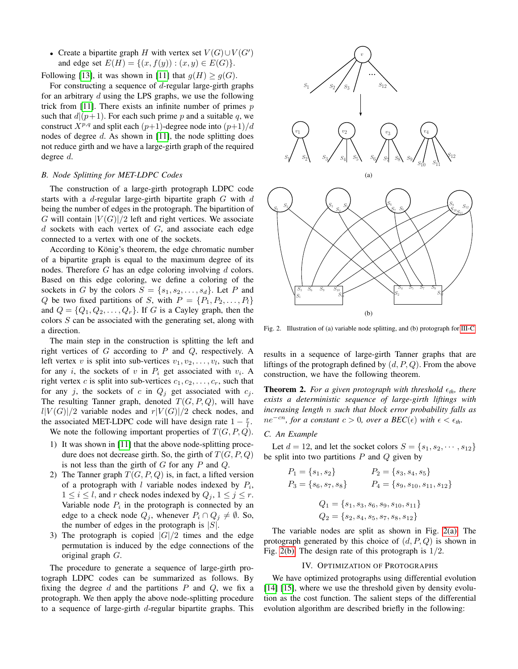• Create a bipartite graph H with vertex set  $V(G) \cup V(G')$ and edge set  $E(H) = \{(x, f(y)) : (x, y) \in E(G)\}.$ 

Following [\[13\]](#page-4-12), it was shown in [\[11\]](#page-4-10) that  $q(H) > q(G)$ .

For constructing a sequence of  $d$ -regular large-girth graphs for an arbitrary  $d$  using the LPS graphs, we use the following trick from [\[11\]](#page-4-10). There exists an infinite number of primes  $p$ such that  $d|(p+1)$ . For each such prime p and a suitable q, we construct  $X^{p,q}$  and split each  $(p+1)$ -degree node into  $(p+1)/d$ nodes of degree  $d$ . As shown in [\[11\]](#page-4-10), the node splitting does not reduce girth and we have a large-girth graph of the required degree d.

# *B. Node Splitting for MET-LDPC Codes*

The construction of a large-girth protograph LDPC code starts with a  $d$ -regular large-girth bipartite graph  $G$  with  $d$ being the number of edges in the protograph. The bipartition of G will contain  $|V(G)|/2$  left and right vertices. We associate d sockets with each vertex of  $G$ , and associate each edge connected to a vertex with one of the sockets.

According to König's theorem, the edge chromatic number of a bipartite graph is equal to the maximum degree of its nodes. Therefore  $G$  has an edge coloring involving  $d$  colors. Based on this edge coloring, we define a coloring of the sockets in G by the colors  $S = \{s_1, s_2, \ldots, s_d\}$ . Let P and Q be two fixed partitions of S, with  $P = \{P_1, P_2, \ldots, P_l\}$ and  $Q = \{Q_1, Q_2, \ldots, Q_r\}$ . If G is a Cayley graph, then the colors  $S$  can be associated with the generating set, along with a direction.

The main step in the construction is splitting the left and right vertices of  $G$  according to  $P$  and  $Q$ , respectively. A left vertex v is split into sub-vertices  $v_1, v_2, \ldots, v_l$ , such that for any *i*, the sockets of *v* in  $P_i$  get associated with  $v_i$ . A right vertex c is split into sub-vertices  $c_1, c_2, \ldots, c_r$ , such that for any j, the sockets of c in  $Q_j$  get associated with  $c_j$ . The resulting Tanner graph, denoted  $T(G, P, Q)$ , will have  $l|V(G)|/2$  variable nodes and  $r|V(G)|/2$  check nodes, and the associated MET-LDPC code will have design rate  $1 - \frac{r}{l}$ .

We note the following important properties of  $T(G, P, Q)$ .

- 1) It was shown in [\[11\]](#page-4-10) that the above node-splitting procedure does not decrease girth. So, the girth of  $T(G, P, Q)$ is not less than the girth of  $G$  for any  $P$  and  $Q$ .
- 2) The Tanner graph  $T(G, P, Q)$  is, in fact, a lifted version of a protograph with l variable nodes indexed by  $P_i$ ,  $1 \leq i \leq l$ , and r check nodes indexed by  $Q_j$ ,  $1 \leq j \leq r$ . Variable node  $P_i$  in the protograph is connected by an edge to a check node  $Q_j$ , whenever  $P_i \cap Q_j \neq \emptyset$ . So, the number of edges in the protograph is  $|S|$ .
- 3) The protograph is copied  $|G|/2$  times and the edge permutation is induced by the edge connections of the original graph G.

The procedure to generate a sequence of large-girth protograph LDPC codes can be summarized as follows. By fixing the degree  $d$  and the partitions  $P$  and  $Q$ , we fix a protograph. We then apply the above node-splitting procedure to a sequence of large-girth d-regular bipartite graphs. This

<span id="page-3-1"></span>

<span id="page-3-2"></span>Fig. 2. Illustration of (a) variable node splitting, and (b) protograph for [III-C.](#page-3-0)

results in a sequence of large-girth Tanner graphs that are liftings of the protograph defined by  $(d, P, Q)$ . From the above construction, we have the following theorem.

**Theorem 2.** For a given protograph with threshold  $\epsilon_{th}$ , there *exists a deterministic sequence of large-girth liftings with increasing length* n *such that block error probability falls as*  $ne^{-cn}$ , for a constant  $c > 0$ , over a BEC( $\epsilon$ ) with  $\epsilon < \epsilon_{th}$ .

#### <span id="page-3-0"></span>*C. An Example*

Let  $d = 12$ , and let the socket colors  $S = \{s_1, s_2, \dots, s_{12}\}\$ be split into two partitions  $P$  and  $Q$  given by

$$
P_1 = \{s_1, s_2\} \qquad P_2 = \{s_3, s_4, s_5\}
$$
  
\n
$$
P_3 = \{s_6, s_7, s_8\} \qquad P_4 = \{s_9, s_{10}, s_{11}, s_{12}\}
$$
  
\n
$$
Q_1 = \{s_1, s_3, s_6, s_9, s_{10}, s_{11}\}
$$
  
\n
$$
Q_2 = \{s_2, s_4, s_5, s_7, s_8, s_{12}\}
$$

The variable nodes are split as shown in Fig. [2\(a\).](#page-3-1) The protograph generated by this choice of  $(d, P, Q)$  is shown in Fig. [2\(b\).](#page-3-2) The design rate of this protograph is  $1/2$ .

## IV. OPTIMIZATION OF PROTOGRAPHS

We have optimized protographs using differential evolution [\[14\]](#page-4-13) [\[15\]](#page-4-14), where we use the threshold given by density evolution as the cost function. The salient steps of the differential evolution algorithm are described briefly in the following: